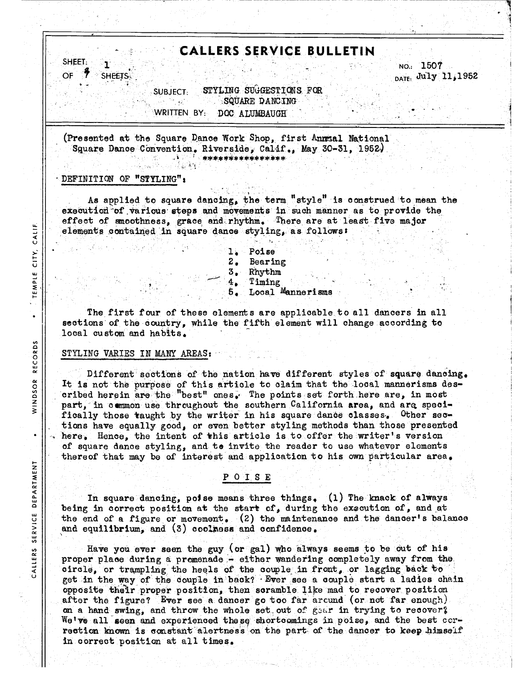# **CALLERS SERVICE BULLETIN**

SHEET: OF **SHEETS.** 

**CALIF.** 

TEMPLE CITY,

 $\bullet$ 

RECORDS

WINDSOR

 $\bullet$ 

DEPARTMENT

SERVICE

CALLERS

NO.: 1507 DATE: July 11, 1952

STYLING SUGGESTIONS FOR **SUBJECT:** 있는<sub>다.</sub><br>만나 SQUARE DANCING WRITTEN BY: DOC ALUMBAUGH

(Presented at the Square Dance Work Shop, first Annsal National Square Dance Convention, Riverside, Calif., May 30-31, 1952. \*\*\*\*\*\*\*\*\*\*\*\*\*\*\*\*\*

šγ.

#### DEFINITION OF "STYLING":

As applied to square dancing, the term "style" is construed to mean the execution of various steps and movements in such manner as to provide the effect of smoothness, grace and rhythm. There are at least five major elements contained in square dance styling, as follows:

> 1. Poise  $2.$ Bearing 3. Rhythm  $4.$ Timing Local Mannerisms 5.

The first four of these elements are applicable to all dancers in all sections of the country, while the fifth element will change according to local custom and habits.

#### STYLING VARIES IN MANY AREAS:

Different sections of the nation have different styles of square dancing. It is not the purpose of this article to claim that the local mannerisms described herein are the "best" ones. The points set forth here are, in most part, in common use throughout the southern California area, and are specifically those taught by the writer in his square dance classes. Other sections have equally good, or even better styling methods than those presented here. Hence, the intent of this article is to offer the writer's version of square dance styling, and to invite the reader to use whatever elements thereof that may be of interest and application to his own particular area.

# POISE

In square dancing, poise means three things, (1) The knack of always being in correct position at the start of, during the execution of, and at the end of a figure or movement. (2) the maintenance and the dancer's balance and equilibrium, and (3) coolness and confidence.

Have you ever seen the guy (or gal) who always seems to be out of his proper place during a promenade - either wandering completely away from the circle, or trampling the heels of the couple in front, or lagging back to get in the way of the couple in back? Ever see a couple start a ladies chain opposite their proper position, then scramble like mad to recover position after the figure? Ever see a dancer go too far arcund (or not far enough). on a hand swing, and throw the whole set out of gear in trying to recover? We've all seen and experienced these shortcomings in poise, and the best correction known is constant alertness on the part of the dancer to keep himself in correct position at all times.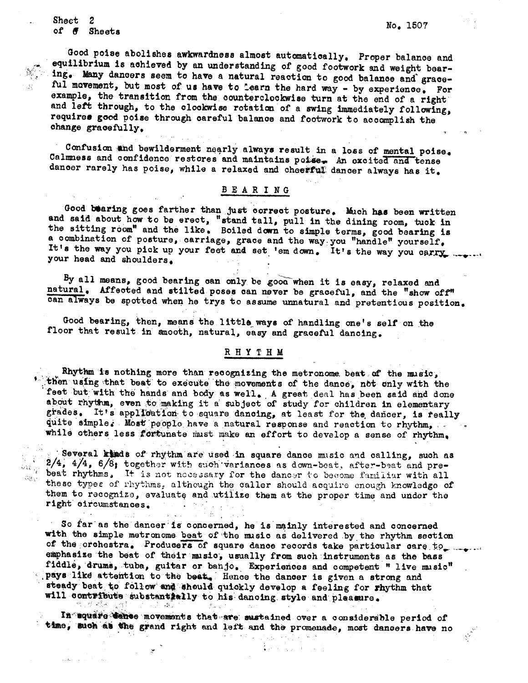Sheet -2 of # Sheets

ਦੇ ਦੇ ਟੀਤ

 $\mathcal{L}^{\text{L}}_{\text{c}}$  ,  $\mathcal{B}^{\text{L}}_{\text{c}}$ 

Good poise abolishes awkwardness almost automatically. Proper balance and equilibrium is achieved by an understanding of good footwork and weight bearing. Many dancers seem to have a natural reaction to good balance and graceful movement, but most of us have to learn the hard way - by experience. For example, the transition from the counterclockwise turn at the end of a right and left through, to the clockwise rotation of a swing immediately following, requires good poise through careful balance and footwork to accomplish the change gracefully.

Confusion and bewilderment nearly always result in a loss of mental poise. Calmness and confidence restores and maintains potse. An excited and tense dancer rarely has poise, while a relaxed and cheerful dancer always has it.

### BEARING

Good bearing goes farther than just correct posture. Much has been written and said about how to be erect, "stand tall, pull in the dining room, tuck in the sitting room" and the like. Boiled down to simple terms, good bearing is a combination of posture, carriage, grace and the way you "handle" yourself, It's the way you pick up your feet and set 'em down. It's the way you carry your head and shoulders.

By all means, good bearing can only be good when it is easy, relaxed and natural. Affected and stilted poses can never be graceful, and the "show off" can always be spotted when he trys to assume unnatural and pretentious position.

Good bearing, then, means the little ways of handling one's self on the floor that result in smooth, natural, easy and graceful dancing.

## RHYTHM

Rhythm is nothing more than recognizing the metronome beat of the music, then using that beat to execute the movements of the dance, not snly with the feet but with the hands and body as well. A great deal has been said and done about rhythm, even to making it a subject of study for children in elementary grades. It's application to square dancing, at least for the dancer, is really quite simple. Most people have a natural response and reaction to rhythm, while others less fortunate must make an effort to develop a sense of rhythm.

Several kinds of rhythm are used in square dance music and calling, such as  $2/4$ ,  $4/4$ ,  $6/\overline{6}$ ; together with such variances as down-beat, after-beat and prebeat rhythms. It is not necessary for the dancer to become familiar with all these types of rhythms, although the caller should acquire enough knowledge of them to recognize, evaluate and utilize them at the proper time and under the right circumstances.

あない

So far as the dancer is concerned, he is mainly interested and concerned with the simple metronome beat of the music as delivered by the rhythm section of the orchestra. Producers of square dance records take particular care to we want emphasize the beat of their music, usually from such instruments as the bass fiddle, drums, tuba, guitar or banjo. Experiences and competent " live music" pays like attention to the beat. Hence the dancer is given a strong and steady beat to follow and should quickly develop a feeling for rhythm that will contribute substantially to his dancing style and pleasure.

In aquare dence movements that are sustained over a considerable period of time, such as the grand right and left and the promenade, most dancers have no

as est 氧化氢 医血管的 No. 1507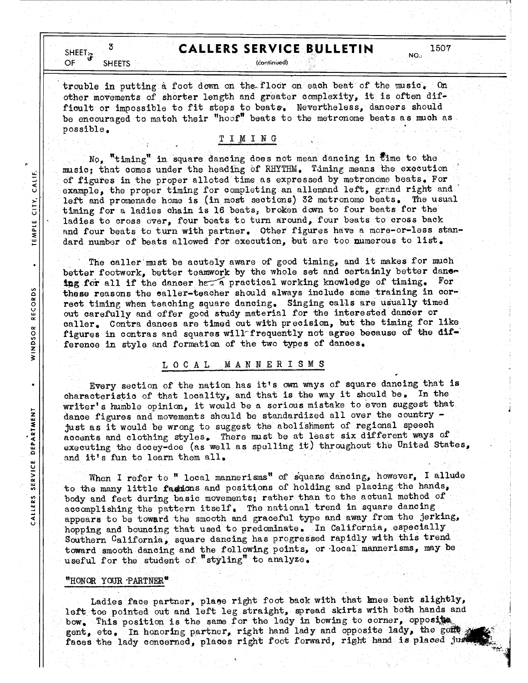# **CALLERS SERVICE BULLETIN**

SHEET $\ddot{\mathbf{r}}$ **OF SHEETS** 

CALIF.

CITY.

TEMPLE

 $\bullet$ 

**RECORDS** 

WINDSOR

 $\bullet$ 

SERVICE DEPARTMENT

CALLERS

3

(continued).

trouble in putting a foot down on the floor on each beat of the music.  $0<sub>0</sub>$ other movements of shorter length and greater complexity, it is often difficult or impossible to fit steps to beats. Nevertheless, dancers should be encouraged to match their "hoof" beats to the metronome beats as much as possible.

## TIMING

No, "timing" in square dancing does not mean dancing in time to the music; that comes under the heading of RHYTHM. Timing means the execution of figures in the proper alloted time as expressed by metronome beats. For example, the proper timing for completing an allemand left, grand right and left and promenade home is (in most sections) 32 metronome beats. The usual timing for a ladies chain is 16 beats, broken down to four beats for the ladies to cross over, four beats to turn around, four beats to cross back and four beats to turn with partner. Other figures have a more-or-less standard number of beats allowed for execution, but are too numerous to list.

The caller must be acutely aware of good timing, and it makes for much better footwork, better teamwork by the whole set and certainly better dance ing for all if the dancer has a practical working knowledge of timing. For these reasons the caller-teacher should always include some training in correct timing when teaching square dancing. Singing calls are usually timed out carefully and offer good study material for the interested dancer or caller. Contra dances are timed out with precision, but the timing for like figures in contras and squares will frequently not agree because of the difference in style and formation of the two types of dances.

# LOCAL MANNERISMS

Every section of the nation has it's own ways of square dancing that is characteristic of that locality, and that is the way it should be. In the writer's humble opinion, it would be a serious mistake to even suggest that dance figures and movements should be standardized all over the country just as it would be wrong to suggest the abolishment of regional speech accents and clothing styles. There must be at least six different ways of executing the docey-doe (as well as spelling it) throughout the United States, and it's fun to learn them all.

When I refer to " local mannerisms" of square dancing, however, I allude to the many little factions and positions of holding and placing the hands, body and feet during basic movements; rather than to the actual method of accomplishing the pattern itself. The national trend in square dancing appears to be toward the smooth and graceful type and away from the jerking, hopping and bouncing that used to predominate. In California, especially Southern California, square dancing has progressed rapidly with this trend toward smooth dancing and the following points, or local mannerisms, may be useful for the student of "styling" to analyze.

## "HONOR YOUR PARTNER"

Ladies face partner, place right foot back with that knee bent slightly, left toe pointed out and left leg straight, spread skirts with both hands and bow. This position is the same for the lady in bowing to corner, opposite. gent, etc. In honoring partner, right hand lady and opposite lady, the gent of faces the lady concerned, places right foot forward, right hand is placed just

1507

NO.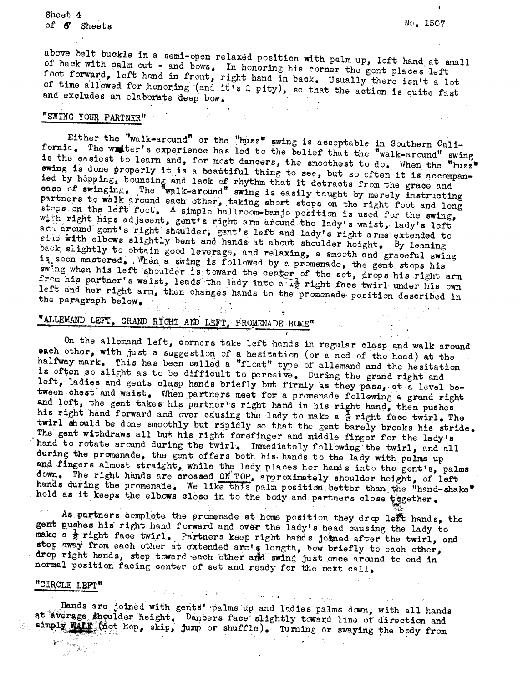Sheet 4 of 6 Sheets

No. 1507

above belt buckle in a semi-open relaxed position with palm up, left hand at small of back with palm out - and bows. In honoring his corner the gent places left foot forward, left hand in front, right hand in back. Usually there isn't a lot of time allowed for honoring (and it's a pity), so that the action is quite fast and excludes an elaborate deep bow.

# "SWING YOUR PARTNER"

Either the "walk-around" or the "buzz" swing is acceptable in Southern California. The writer's experience has led to the belief that the "walk-around" swing is the easiest to learn and, for most dancers, the smoothest to do. When the "buzz" swing is done properly it is a beautiful thing to see, but so often it is accompanied by hopping, bouncing and lack of rhythm that it detracts from the grace and ease of swinging. The "walk-around" swing is easily taught by merely instructing partners to walk around each other, taking short steps on the right foot and long staps on the left foot. A simple ballroom-banjo position is used for the swing, with right hips adjacent, gent's right arm around the lady's waist, lady's left armaround gent's right shoulder, gent's left and lady's right arms extended to side with elbows slightly bent and hands at about shoulder height. By leaning back slightly to obtain good leverage, and relaxing, a smooth and graceful swing is soon mastered. When a swing is followed by a promenade, the gent stops his swing when his left shoulder is toward the center of the set, drops his right arm from his partner's waist, leads the lady into a  $\frac{1}{42}$  right face twirl under his own left and her right arm, then changes hands to the promenade position described in the paragraph below.

# "ALLEMAND LEFT, GRAND RIGHT AND LEFT, PROMENADE HOME"

On the allemand left, corners take left hands in regular clasp and walk around each other, with just a suggestion of a hesitation (or a nod of the head) at the halfway mark. This has been called a "float" type of allemand and the hesitation is often so slight as to be difficult to perceive. During the grand right and left, ladies and gents clasp hands briefly but firmly as they pass, at a level between chest and waist. When partners meet for a promenade following a grand right and left, the gent takes his partner's right hand in his right hand, then pushes his right hand forward and over causing the lady to make a  $\frac{1}{2}$  right face twirl. The twirl should be done smoothly but rapidly so that the gent barely breaks his stride. The gent withdraws all but his right forefinger and middle finger for the lady's hand to rotate around during the twirl. Immediately following the twirl, and all during the promenade, the gent offers both his hands to the lady with palms up and fingers almost straight, while the lady places her hands into the gent's, palms down. The right hands are crossed ON TOP, approximately shoulder height, of left hands during the promenade. We like this palm position better than the "hand-shake" hold as it keeps the elbows close in to the body and partners close tegether.

As partners complete the promenade at home position they drop left hands, the gent pushes his right hand forward and over the lady's head causing the lady to make a  $\frac{1}{2}$  right face twirl. Partners keep right hands joined after the twirl, and step away from each other at extended arm's length, bow briefly to each other, drop right hands, step toward each other and swing just once around to end in normal position facing center of set and ready for the next call.

# "CIRCLE LEFT"

医骨折 医单元的 医血管 医细胞 Hands are joined with gents' palms up and ladies palms down, with all hands at average shoulder height. Dancers face slightly toward line of direction and simply Wath (not hop, skip, jump or shuffle). Turning or swaying the body from

医肾上腺 医二氧化物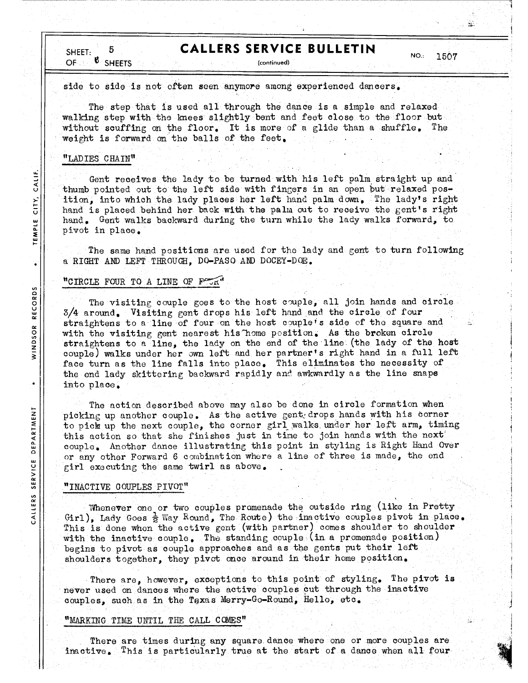# **CALLERS SERVICE BULLETIN**

SHEET: 6. OF. **SHEETS** 

(continued)

 $NO.:$ 1507  $\mathbf{r}_{\mathrm{L}}$ 

side to side is not often seen anymore among experienced dancers.

The step that is used all through the dance is a simple and relaxed walking step with the knees slightly bent and feet close to the floor but without scuffing on the floor. It is more of a glide than a shuffle. The weight is forward on the balls of the feet.

## "LADIES CHAIN"

CALIF.

city,

TEMPLE

WINDSOR RECORDS

.

DEPARTMENT

SERVICE

CALLERS

Gent receives the lady to be turned with his left palm straight up and thumb pointed out to the left side with fingers in an open but relaxed position, into which the lady places her left hand palm down. The lady's right hand is placed behind her back with the palm out to receive the gent's right hand. Gent walks backward during the turn while the lady walks forward, to pivot in place.

The same hand positions are used for the lady and gent to turn following a RIGHT AND LEFT THROUGH, DO-PASO AND DOCEY-DOE.

## "CIRCLE FOUR TO A LINE OF FOUR"

The visiting couple goes to the host couple, all join hands and circle 3/4 around. Visiting gent drops his left hand and the circle of four straightens to a line of four on the host couple's side of the square and with the visiting gent nearest his home position. As the broken circle straightens to a line, the lady on the end of the line (the lady of the host couple) walks under her own left and her partner's right hand in a full left face turn as the line falls into place. This eliminates the necessity of the end lady skittering backward rapidly and awkwardly as the line snaps into place.

The action described above may also be done in circle formation when picking up another couple. As the active gent drops hands with his corner to pick up the next couple, the corner girl walks under her left arm, timing this action so that she finishes just in time to join hands with the next couple. Another dance illustrating this point in styling is Right Hand Over or any other Forward 6 combination where a line of three is made, the end girl executing the same twirl as above.

# "INACTIVE COUPLES PIVOT"

Whenever one or two couples promenade the outside ring (like in Pretty Girl), Lady Goes  $\frac{1}{2}$  Way Round, The Route) the inactive couples pivot in place. This is done when the active gent (with partner) comes shoulder to shoulder with the inactive couple. The standing couple (in a promenade position) begins to pivot as couple approaches and as the gents put their left shoulders together, they pivot once around in their home position.

There are, however, exceptions to this point of styling. The pivot is never used on dances where the active couples cut through the inactive couples, such as in the Texas Merry-Go-Round, Hello, etc.

#### "MARKING TIME UNTIL THE CALL COMES"

There are times during any square dance where one or more couples are inactive. This is particularly true at the start of a dance when all four